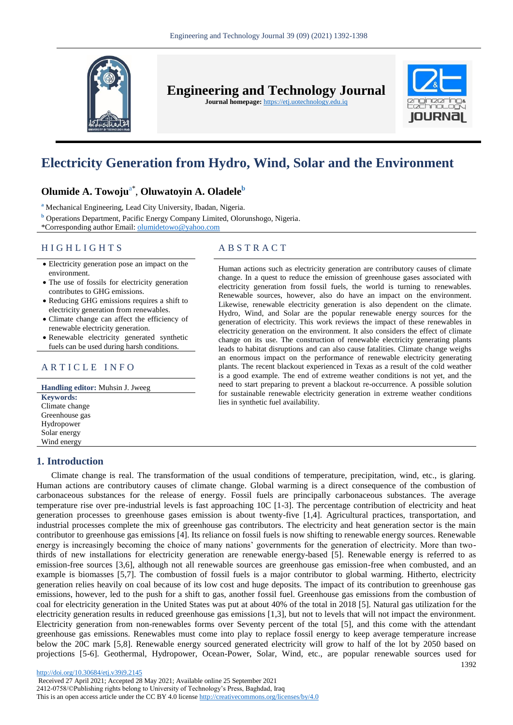

**Engineering and Technology Journal** 

**Journal homepage:** https://etj.uotechnology.edu.iq



# **Electricity Generation from Hydro, Wind, Solar and the Environment**

## **Olumide A. Towoju**a\* , **Oluwatoyin A. Oladele<sup>b</sup>**

**<sup>a</sup>** Mechanical Engineering, Lead City University, Ibadan, Nigeria.

**<sup>b</sup>** Operations Department, Pacific Energy Company Limited, Olorunshogo, Nigeria.

\*Corresponding author Email: [olumidetowo@yahoo.com](file:///D:/eJournalPlus/Issues-2021/No%209-2021-Mechanical%20Engineering/Word%20files/%5b8%5d%202145/olumidetowo@yahoo.com)

## H I G H L I G H T S A B S T R A C T

- Electricity generation pose an impact on the environment.
- The use of fossils for electricity generation contributes to GHG emissions.
- Reducing GHG emissions requires a shift to electricity generation from renewables.
- Climate change can affect the efficiency of renewable electricity generation.
- Renewable electricity generated synthetic fuels can be used during harsh conditions.

## ARTICLE INFO

**Handling editor:** Muhsin J. Jweeg **Keywords:** Climate change Greenhouse gas Hydropower Solar energy Wind energy

## **1. Introduction**

Human actions such as electricity generation are contributory causes of climate change. In a quest to reduce the emission of greenhouse gases associated with electricity generation from fossil fuels, the world is turning to renewables. Renewable sources, however, also do have an impact on the environment. Likewise, renewable electricity generation is also dependent on the climate. Hydro, Wind, and Solar are the popular renewable energy sources for the generation of electricity. This work reviews the impact of these renewables in electricity generation on the environment. It also considers the effect of climate change on its use. The construction of renewable electricity generating plants leads to habitat disruptions and can also cause fatalities. Climate change weighs an enormous impact on the performance of renewable electricity generating plants. The recent blackout experienced in Texas as a result of the cold weather is a good example. The end of extreme weather conditions is not yet, and the need to start preparing to prevent a blackout re-occurrence. A possible solution for sustainable renewable electricity generation in extreme weather conditions lies in synthetic fuel availability.

1392 Climate change is real. The transformation of the usual conditions of temperature, precipitation, wind, etc., is glaring. Human actions are contributory causes of climate change. Global warming is a direct consequence of the combustion of carbonaceous substances for the release of energy. Fossil fuels are principally carbonaceous substances. The average temperature rise over pre-industrial levels is fast approaching 10C [1-3]. The percentage contribution of electricity and heat generation processes to greenhouse gases emission is about twenty-five [1,4]. Agricultural practices, transportation, and industrial processes complete the mix of greenhouse gas contributors. The electricity and heat generation sector is the main contributor to greenhouse gas emissions [4]. Its reliance on fossil fuels is now shifting to renewable energy sources. Renewable energy is increasingly becoming the choice of many nations' governments for the generation of electricity. More than twothirds of new installations for electricity generation are renewable energy-based [5]. Renewable energy is referred to as emission-free sources [3,6], although not all renewable sources are greenhouse gas emission-free when combusted, and an example is biomasses [5,7]. The combustion of fossil fuels is a major contributor to global warming. Hitherto, electricity generation relies heavily on coal because of its low cost and huge deposits. The impact of its contribution to greenhouse gas emissions, however, led to the push for a shift to gas, another fossil fuel. Greenhouse gas emissions from the combustion of coal for electricity generation in the United States was put at about 40% of the total in 2018 [5]. Natural gas utilization for the electricity generation results in reduced greenhouse gas emissions [1,3], but not to levels that will not impact the environment. Electricity generation from non-renewables forms over Seventy percent of the total [5], and this come with the attendant greenhouse gas emissions. Renewables must come into play to replace fossil energy to keep average temperature increase below the 20C mark [5,8]. Renewable energy sourced generated electricity will grow to half of the lot by 2050 based on projections [5-6]. Geothermal, Hydropower, Ocean-Power, Solar, Wind, etc., are popular renewable sources used for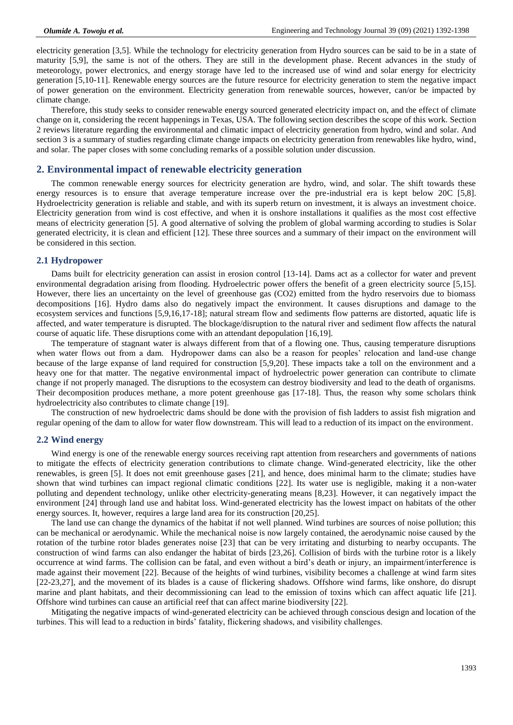electricity generation [3,5]. While the technology for electricity generation from Hydro sources can be said to be in a state of maturity [5,9], the same is not of the others. They are still in the development phase. Recent advances in the study of meteorology, power electronics, and energy storage have led to the increased use of wind and solar energy for electricity generation [5,10-11]. Renewable energy sources are the future resource for electricity generation to stem the negative impact of power generation on the environment. Electricity generation from renewable sources, however, can/or be impacted by climate change.

Therefore, this study seeks to consider renewable energy sourced generated electricity impact on, and the effect of climate change on it, considering the recent happenings in Texas, USA. The following section describes the scope of this work. Section 2 reviews literature regarding the environmental and climatic impact of electricity generation from hydro, wind and solar. And section 3 is a summary of studies regarding climate change impacts on electricity generation from renewables like hydro, wind, and solar. The paper closes with some concluding remarks of a possible solution under discussion.

## **2. Environmental impact of renewable electricity generation**

The common renewable energy sources for electricity generation are hydro, wind, and solar. The shift towards these energy resources is to ensure that average temperature increase over the pre-industrial era is kept below 20C [5,8]. Hydroelectricity generation is reliable and stable, and with its superb return on investment, it is always an investment choice. Electricity generation from wind is cost effective, and when it is onshore installations it qualifies as the most cost effective means of electricity generation [5]. A good alternative of solving the problem of global warming according to studies is Solar generated electricity, it is clean and efficient [12]. These three sources and a summary of their impact on the environment will be considered in this section.

#### **2.1 Hydropower**

Dams built for electricity generation can assist in erosion control [13-14]. Dams act as a collector for water and prevent environmental degradation arising from flooding. Hydroelectric power offers the benefit of a green electricity source [5,15]. However, there lies an uncertainty on the level of greenhouse gas (CO2) emitted from the hydro reservoirs due to biomass decompositions [16]. Hydro dams also do negatively impact the environment. It causes disruptions and damage to the ecosystem services and functions [5,9,16,17-18]; natural stream flow and sediments flow patterns are distorted, aquatic life is affected, and water temperature is disrupted. The blockage/disruption to the natural river and sediment flow affects the natural course of aquatic life. These disruptions come with an attendant depopulation [16,19].

The temperature of stagnant water is always different from that of a flowing one. Thus, causing temperature disruptions when water flows out from a dam. Hydropower dams can also be a reason for peoples' relocation and land-use change because of the large expanse of land required for construction [5,9,20]. These impacts take a toll on the environment and a heavy one for that matter. The negative environmental impact of hydroelectric power generation can contribute to climate change if not properly managed. The disruptions to the ecosystem can destroy biodiversity and lead to the death of organisms. Their decomposition produces methane, a more potent greenhouse gas [17-18]. Thus, the reason why some scholars think hydroelectricity also contributes to climate change [19].

The construction of new hydroelectric dams should be done with the provision of fish ladders to assist fish migration and regular opening of the dam to allow for water flow downstream. This will lead to a reduction of its impact on the environment.

## **2.2 Wind energy**

Wind energy is one of the renewable energy sources receiving rapt attention from researchers and governments of nations to mitigate the effects of electricity generation contributions to climate change. Wind-generated electricity, like the other renewables, is green [5]. It does not emit greenhouse gases [21], and hence, does minimal harm to the climate; studies have shown that wind turbines can impact regional climatic conditions [22]. Its water use is negligible, making it a non-water polluting and dependent technology, unlike other electricity-generating means [8,23]. However, it can negatively impact the environment [24] through land use and habitat loss. Wind-generated electricity has the lowest impact on habitats of the other energy sources. It, however, requires a large land area for its construction [20,25].

The land use can change the dynamics of the habitat if not well planned. Wind turbines are sources of noise pollution; this can be mechanical or aerodynamic. While the mechanical noise is now largely contained, the aerodynamic noise caused by the rotation of the turbine rotor blades generates noise [23] that can be very irritating and disturbing to nearby occupants. The construction of wind farms can also endanger the habitat of birds [23,26]. Collision of birds with the turbine rotor is a likely occurrence at wind farms. The collision can be fatal, and even without a bird's death or injury, an impairment/interference is made against their movement [22]. Because of the heights of wind turbines, visibility becomes a challenge at wind farm sites [22-23,27], and the movement of its blades is a cause of flickering shadows. Offshore wind farms, like onshore, do disrupt marine and plant habitats, and their decommissioning can lead to the emission of toxins which can affect aquatic life [21]. Offshore wind turbines can cause an artificial reef that can affect marine biodiversity [22].

Mitigating the negative impacts of wind-generated electricity can be achieved through conscious design and location of the turbines. This will lead to a reduction in birds' fatality, flickering shadows, and visibility challenges.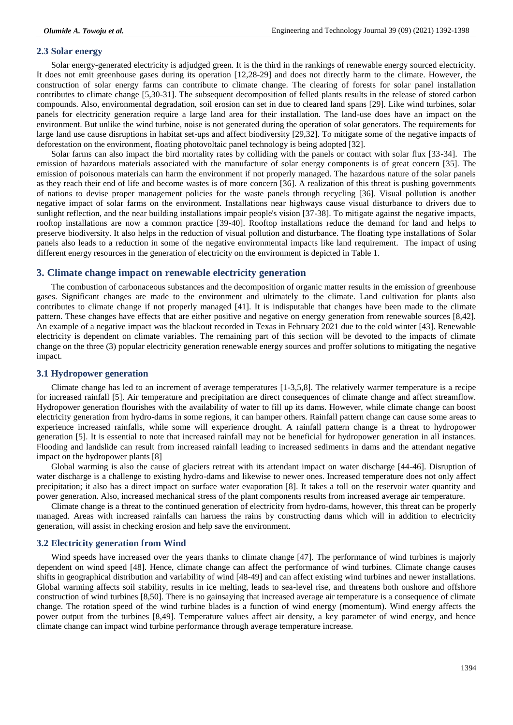## **2.3 Solar energy**

Solar energy-generated electricity is adjudged green. It is the third in the rankings of renewable energy sourced electricity. It does not emit greenhouse gases during its operation [12,28-29] and does not directly harm to the climate. However, the construction of solar energy farms can contribute to climate change. The clearing of forests for solar panel installation contributes to climate change [5,30-31]. The subsequent decomposition of felled plants results in the release of stored carbon compounds. Also, environmental degradation, soil erosion can set in due to cleared land spans [29]. Like wind turbines, solar panels for electricity generation require a large land area for their installation. The land-use does have an impact on the environment. But unlike the wind turbine, noise is not generated during the operation of solar generators. The requirements for large land use cause disruptions in habitat set-ups and affect biodiversity [29,32]. To mitigate some of the negative impacts of deforestation on the environment, floating photovoltaic panel technology is being adopted [32].

Solar farms can also impact the bird mortality rates by colliding with the panels or contact with solar flux [33-34]. The emission of hazardous materials associated with the manufacture of solar energy components is of great concern [35]. The emission of poisonous materials can harm the environment if not properly managed. The hazardous nature of the solar panels as they reach their end of life and become wastes is of more concern [36]. A realization of this threat is pushing governments of nations to devise proper management policies for the waste panels through recycling [36]. Visual pollution is another negative impact of solar farms on the environment. Installations near highways cause visual disturbance to drivers due to sunlight reflection, and the near building installations impair people's vision [37-38]. To mitigate against the negative impacts, rooftop installations are now a common practice [39-40]. Rooftop installations reduce the demand for land and helps to preserve biodiversity. It also helps in the reduction of visual pollution and disturbance. The floating type installations of Solar panels also leads to a reduction in some of the negative environmental impacts like land requirement. The impact of using different energy resources in the generation of electricity on the environment is depicted in Table 1.

## **3. Climate change impact on renewable electricity generation**

The combustion of carbonaceous substances and the decomposition of organic matter results in the emission of greenhouse gases. Significant changes are made to the environment and ultimately to the climate. Land cultivation for plants also contributes to climate change if not properly managed [41]. It is indisputable that changes have been made to the climate pattern. These changes have effects that are either positive and negative on energy generation from renewable sources [8,42]. An example of a negative impact was the blackout recorded in Texas in February 2021 due to the cold winter [43]. Renewable electricity is dependent on climate variables. The remaining part of this section will be devoted to the impacts of climate change on the three (3) popular electricity generation renewable energy sources and proffer solutions to mitigating the negative impact.

## **3.1 Hydropower generation**

Climate change has led to an increment of average temperatures [1-3,5,8]. The relatively warmer temperature is a recipe for increased rainfall [5]. Air temperature and precipitation are direct consequences of climate change and affect streamflow. Hydropower generation flourishes with the availability of water to fill up its dams. However, while climate change can boost electricity generation from hydro-dams in some regions, it can hamper others. Rainfall pattern change can cause some areas to experience increased rainfalls, while some will experience drought. A rainfall pattern change is a threat to hydropower generation [5]. It is essential to note that increased rainfall may not be beneficial for hydropower generation in all instances. Flooding and landslide can result from increased rainfall leading to increased sediments in dams and the attendant negative impact on the hydropower plants [8]

Global warming is also the cause of glaciers retreat with its attendant impact on water discharge [44-46]. Disruption of water discharge is a challenge to existing hydro-dams and likewise to newer ones. Increased temperature does not only affect precipitation; it also has a direct impact on surface water evaporation [8]. It takes a toll on the reservoir water quantity and power generation. Also, increased mechanical stress of the plant components results from increased average air temperature.

Climate change is a threat to the continued generation of electricity from hydro-dams, however, this threat can be properly managed. Areas with increased rainfalls can harness the rains by constructing dams which will in addition to electricity generation, will assist in checking erosion and help save the environment.

## **3.2 Electricity generation from Wind**

Wind speeds have increased over the years thanks to climate change [47]. The performance of wind turbines is majorly dependent on wind speed [48]. Hence, climate change can affect the performance of wind turbines. Climate change causes shifts in geographical distribution and variability of wind [48-49] and can affect existing wind turbines and newer installations. Global warming affects soil stability, results in ice melting, leads to sea-level rise, and threatens both onshore and offshore construction of wind turbines [8,50]. There is no gainsaying that increased average air temperature is a consequence of climate change. The rotation speed of the wind turbine blades is a function of wind energy (momentum). Wind energy affects the power output from the turbines [8,49]. Temperature values affect air density, a key parameter of wind energy, and hence climate change can impact wind turbine performance through average temperature increase.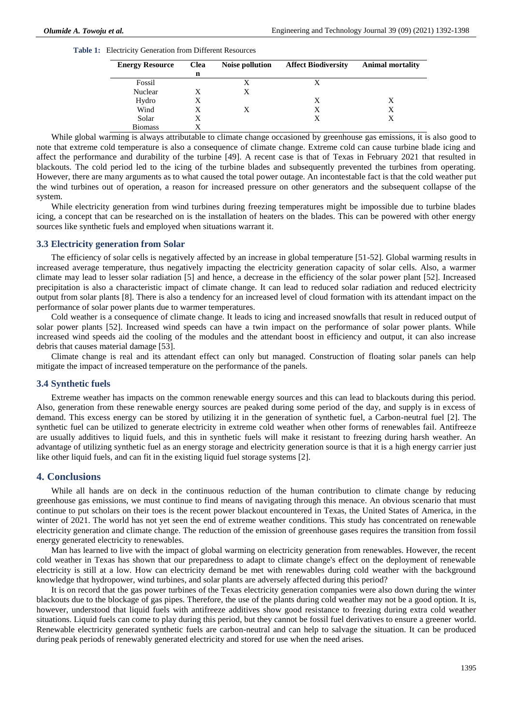## **Table 1:** Electricity Generation from Different Resources

| <b>Energy Resource</b> | <b>Clea</b> | <b>Noise pollution</b> | <b>Affect Biodiversity</b> | <b>Animal mortality</b> |
|------------------------|-------------|------------------------|----------------------------|-------------------------|
|                        | n           |                        |                            |                         |
| Fossil                 |             | X                      |                            |                         |
| Nuclear                | X           | X                      |                            |                         |
| Hydro                  |             |                        | X                          | X                       |
| Wind                   |             | X                      | х                          | Х                       |
| Solar                  |             |                        |                            |                         |
| <b>Biomass</b>         |             |                        |                            |                         |

While global warming is always attributable to climate change occasioned by greenhouse gas emissions, it is also good to note that extreme cold temperature is also a consequence of climate change. Extreme cold can cause turbine blade icing and affect the performance and durability of the turbine [49]. A recent case is that of Texas in February 2021 that resulted in blackouts. The cold period led to the icing of the turbine blades and subsequently prevented the turbines from operating. However, there are many arguments as to what caused the total power outage. An incontestable fact is that the cold weather put the wind turbines out of operation, a reason for increased pressure on other generators and the subsequent collapse of the system.

While electricity generation from wind turbines during freezing temperatures might be impossible due to turbine blades icing, a concept that can be researched on is the installation of heaters on the blades. This can be powered with other energy sources like synthetic fuels and employed when situations warrant it.

## **3.3 Electricity generation from Solar**

The efficiency of solar cells is negatively affected by an increase in global temperature [51-52]. Global warming results in increased average temperature, thus negatively impacting the electricity generation capacity of solar cells. Also, a warmer climate may lead to lesser solar radiation [5] and hence, a decrease in the efficiency of the solar power plant [52]. Increased precipitation is also a characteristic impact of climate change. It can lead to reduced solar radiation and reduced electricity output from solar plants [8]. There is also a tendency for an increased level of cloud formation with its attendant impact on the performance of solar power plants due to warmer temperatures.

Cold weather is a consequence of climate change. It leads to icing and increased snowfalls that result in reduced output of solar power plants [52]. Increased wind speeds can have a twin impact on the performance of solar power plants. While increased wind speeds aid the cooling of the modules and the attendant boost in efficiency and output, it can also increase debris that causes material damage [53].

Climate change is real and its attendant effect can only but managed. Construction of floating solar panels can help mitigate the impact of increased temperature on the performance of the panels.

## **3.4 Synthetic fuels**

Extreme weather has impacts on the common renewable energy sources and this can lead to blackouts during this period. Also, generation from these renewable energy sources are peaked during some period of the day, and supply is in excess of demand. This excess energy can be stored by utilizing it in the generation of synthetic fuel, a Carbon-neutral fuel [2]. The synthetic fuel can be utilized to generate electricity in extreme cold weather when other forms of renewables fail. Antifreeze are usually additives to liquid fuels, and this in synthetic fuels will make it resistant to freezing during harsh weather. An advantage of utilizing synthetic fuel as an energy storage and electricity generation source is that it is a high energy carrier just like other liquid fuels, and can fit in the existing liquid fuel storage systems [2].

## **4. Conclusions**

While all hands are on deck in the continuous reduction of the human contribution to climate change by reducing greenhouse gas emissions, we must continue to find means of navigating through this menace. An obvious scenario that must continue to put scholars on their toes is the recent power blackout encountered in Texas, the United States of America, in the winter of 2021. The world has not yet seen the end of extreme weather conditions. This study has concentrated on renewable electricity generation and climate change. The reduction of the emission of greenhouse gases requires the transition from fossil energy generated electricity to renewables.

Man has learned to live with the impact of global warming on electricity generation from renewables. However, the recent cold weather in Texas has shown that our preparedness to adapt to climate change's effect on the deployment of renewable electricity is still at a low. How can electricity demand be met with renewables during cold weather with the background knowledge that hydropower, wind turbines, and solar plants are adversely affected during this period?

It is on record that the gas power turbines of the Texas electricity generation companies were also down during the winter blackouts due to the blockage of gas pipes. Therefore, the use of the plants during cold weather may not be a good option. It is, however, understood that liquid fuels with antifreeze additives show good resistance to freezing during extra cold weather situations. Liquid fuels can come to play during this period, but they cannot be fossil fuel derivatives to ensure a greener world. Renewable electricity generated synthetic fuels are carbon-neutral and can help to salvage the situation. It can be produced during peak periods of renewably generated electricity and stored for use when the need arises.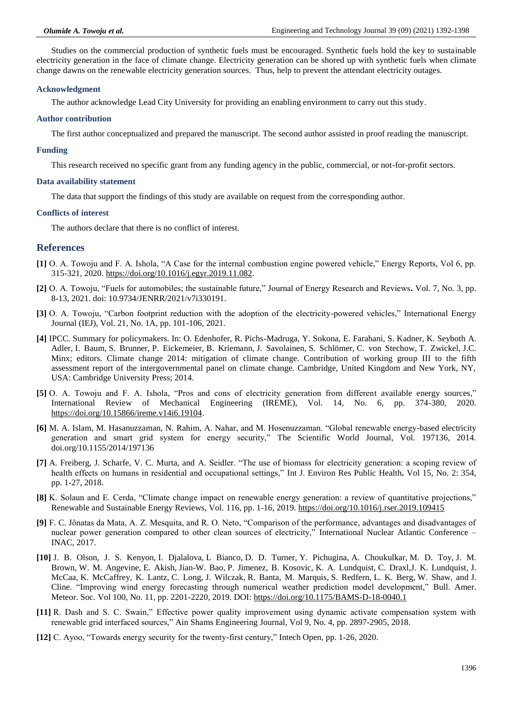Studies on the commercial production of synthetic fuels must be encouraged. Synthetic fuels hold the key to sustainable electricity generation in the face of climate change. Electricity generation can be shored up with synthetic fuels when climate change dawns on the renewable electricity generation sources. Thus, help to prevent the attendant electricity outages.

## **Acknowledgment**

The author acknowledge Lead City University for providing an enabling environment to carry out this study.

## **Author contribution**

The first author conceptualized and prepared the manuscript. The second author assisted in proof reading the manuscript.

#### **Funding**

This research received no specific grant from any funding agency in the public, commercial, or not-for-profit sectors.

## **Data availability statement**

The data that support the findings of this study are available on request from the corresponding author.

## **Conflicts of interest**

The authors declare that there is no conflict of interest.

## **References**

- **[1]** O. A. Towoju and F. A. Ishola, "A Case for the internal combustion engine powered vehicle," Energy Reports, Vol 6, pp. 315-321, 2020. [https://doi.org/10.1016/j.egyr.2019.11.082.](https://doi.org/10.1016/j.egyr.2019.11.082)
- **[2]** O. A. Towoju, "Fuels for automobiles; the sustainable future," Journal of Energy Research and Reviews*.* Vol. 7, No. 3, pp. 8-13, 2021. doi: 10.9734/JENRR/2021/v7i330191.
- **[3]** O. A. Towoju, "Carbon footprint reduction with the adoption of the electricity-powered vehicles," International Energy Journal (IEJ), Vol. 21, No. 1A, pp. 101-106, 2021.
- **[4]** IPCC. Summary for policymakers. In: O. Edenhofer, R. Pichs-Madruga, Y. Sokona, E. Farahani, S. Kadner, K. Seyboth A. Adler, I. Baum, S. Brunner, P. Eickemeier, B. Kriemann, J. Savolainen, S. Schlömer, C. von Stechow, T. Zwickel, J.C. Minx; editors. Climate change 2014: mitigation of climate change. Contribution of working group III to the fifth assessment report of the intergovernmental panel on climate change. Cambridge, United Kingdom and New York, NY, USA: Cambridge University Press; 2014.
- **[5]** O. A. Towoju and F. A. Ishola, "Pros and cons of electricity generation from different available energy sources," International Review of Mechanical Engineering (IREME), Vol. 14, No. 6, pp. 374-380, 2020. [https://doi.org/10.15866/ireme.v14i6.19104.](https://doi.org/10.15866/ireme.v14i6.19104)
- **[6]** M. A. Islam, M. Hasanuzzaman, N. Rahim, A. Nahar, and M. Hosenuzzaman. "Global renewable energy-based electricity generation and smart grid system for energy security," The Scientific World Journal, Vol. 197136, 2014. doi.org/10.1155/2014/197136
- **[7]** A. Freiberg, J. Scharfe, V. C. Murta, and A. Seidler. "The use of biomass for electricity generation: a scoping review of health effects on humans in residential and occupational settings," Int J. Environ Res Public Health**.** Vol 15, No. 2: 354, pp. 1-27, 2018.
- **[8]** K. Solaun and E. Cerda, "Climate change impact on renewable energy generation: a review of quantitative projections," Renewable and Sustainable Energy Reviews, Vol. 116, pp. 1-16, 2019.<https://doi.org/10.1016/j.rser.2019.109415>
- **[9]** F. C. Jônatas da Mata, A. Z. Mesquita, and R. O. Neto, "Comparison of the performance, advantages and disadvantages of nuclear power generation compared to other clean sources of electricity," International Nuclear Atlantic Conference – INAC, 2017.
- **[10]** J. B. Olson, J. S. Kenyon, I. Djalalova, L Bianco, D. D. Turner, Y. Pichugina, A. Choukulkar, M. D. Toy, J. M. Brown, W. M. Angevine, E. Akish, Jian-W. Bao, P. Jimenez, B. Kosovic, K. A. Lundquist, C. Draxl,J. K. Lundquist, J. McCaa, K. McCaffrey, K. Lantz, C. Long, J. Wilczak, R. Banta, M. Marquis, S. Redfern, L. K. Berg, W. Shaw, and J. Cline. "Improving wind energy forecasting through numerical weather prediction model development," Bull. Amer. Meteor. Soc*.* Vol 100, No. 11, pp. 2201-2220, 2019. DOI[: https://doi.org/10.1175/BAMS-D-18-0040.1](https://doi.org/10.1175/BAMS-D-18-0040.1)
- **[11]** R. Dash and S. C. Swain," Effective power quality improvement using dynamic activate compensation system with renewable grid interfaced sources," Ain Shams Engineering Journal*,* Vol 9, No. 4, pp. 2897-2905, 2018.
- **[12]** C. Ayoo, "Towards energy security for the twenty-first century," Intech Open*,* pp. 1-26, 2020.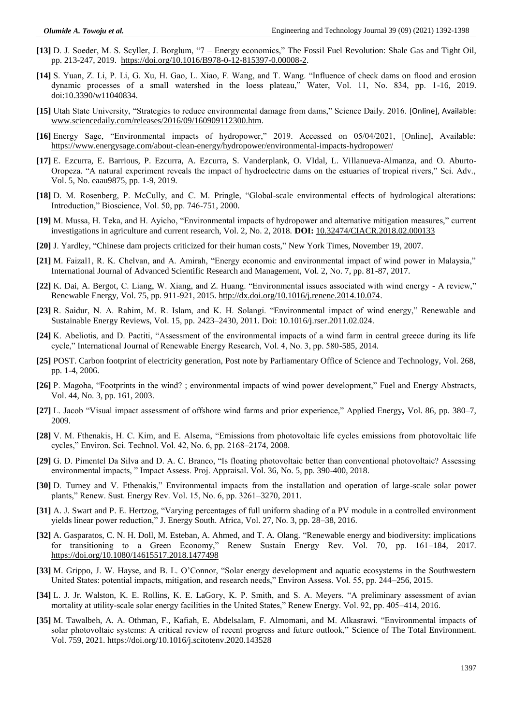- **[13]** D. J. Soeder, M. S. Scyller, J. Borglum, "7 Energy economics," The Fossil Fuel Revolution: Shale Gas and Tight Oil, pp. 213-247, 2019. [https://doi.org/10.1016/B978-0-12-815397-0.00008-2.](https://doi.org/10.1016/B978-0-12-815397-0.00008-2)
- **[14]** S. Yuan, Z. Li, P. Li, G. Xu, H. Gao, L. Xiao, F. Wang, and T. Wang. "Influence of check dams on flood and erosion dynamic processes of a small watershed in the loess plateau," Water, Vol. 11, No. 834, pp. 1-16, 2019. doi:10.3390/w11040834.
- **[15]** Utah State University, "Strategies to reduce environmental damage from dams," Science Daily. 2016. [Online], Available: [www.sciencedaily.com/releases/2016/09/160909112300.htm.](http://www.sciencedaily.com/releases/2016/09/160909112300.htm)
- **[16]** Energy Sage, "Environmental impacts of hydropower," 2019. Accessed on 05/04/2021, [Online], Available: <https://www.energysage.com/about-clean-energy/hydropower/environmental-impacts-hydropower/>
- **[17]** E. Ezcurra, E. Barrious, P. Ezcurra, A. Ezcurra, S. Vanderplank, O. VIdal, L. Villanueva-Almanza, and O. Aburto-Oropeza. "A natural experiment reveals the impact of hydroelectric dams on the estuaries of tropical rivers," Sci. Adv., Vol. 5, No. eaau9875, pp. 1-9, 2019.
- **[18]** D. M. Rosenberg, P. McCully, and C. M. Pringle, "Global-scale environmental effects of hydrological alterations: Introduction," Bioscience, Vol. 50, pp. 746-751, 2000.
- **[19]** M. Mussa, H. Teka, and H. Ayicho, "Environmental impacts of hydropower and alternative mitigation measures," current investigations in agriculture and current research, Vol. 2, No. 2, 2018. **DOI:** [10.32474/CIACR.2018.02.000133](http://dx.doi.org/10.32474/CIACR.2018.02.000133)
- **[20]** J. Yardley, "Chinese dam projects criticized for their human costs," New York Times, November 19, 2007.
- **[21]** M. Faizal1, R. K. Chelvan, and A. Amirah, "Energy economic and environmental impact of wind power in Malaysia," International Journal of Advanced Scientific Research and Management, Vol. 2, No. 7, pp. 81-87, 2017.
- **[22]** K. Dai, [A. Bergot,](https://www.sciencedirect.com/science/article/abs/pii/S0960148114007149#!) C. Liang, W. Xiang, and Z. Huang. "Environmental issues associated with wind energy A review," Renewable Energy, Vol. 75, pp. 911-921, 2015[. http://dx.doi.org/10.1016/j.renene.2014.10.074.](http://dx.doi.org/10.1016/j.renene.2014.10.074)
- **[23]** R. Saidur, N. A. Rahim, M. R. Islam, and K. H. Solangi. "Environmental impact of wind energy," Renewable and Sustainable Energy Reviews, Vol. 15, pp. 2423–2430, 2011. Doi: 10.1016/j.rser.2011.02.024.
- **[24]** K. Abeliotis, and D. Pactiti, "Assessment of the environmental impacts of a wind farm in central greece during its life cycle," International Journal of Renewable Energy Research, Vol. 4, No. 3, pp. 580-585, 2014.
- **[25]** POST. Carbon footprint of electricity generation, Post note by Parliamentary Office of Science and Technology, Vol. 268, pp. 1-4, 2006.
- **[26]** P. Magoha, "Footprints in the wind? ; environmental impacts of wind power development," Fuel and Energy Abstracts, Vol. 44, No. 3, pp. 161, 2003.
- **[27]** L. Jacob "Visual impact assessment of offshore wind farms and prior experience," Applied Energy*,* Vol. 86, pp. 380–7, 2009.
- **[28]** V. M. Fthenakis, H. C. Kim, and E. Alsema, "Emissions from photovoltaic life cycles emissions from photovoltaic life cycles," Environ. Sci. Technol. Vol. 42, No. 6, pp. 2168–2174, 2008.
- **[29]** G. D. Pimentel Da Silva and D. A. C. Branco, "Is floating photovoltaic better than conventional photovoltaic? Assessing environmental impacts, " Impact Assess. Proj. Appraisal. Vol. 36, No. 5, pp. 390-400, 2018.
- **[30]** D. Turney and V. Fthenakis," Environmental impacts from the installation and operation of large-scale solar power plants," Renew. Sust. Energy Rev. Vol. 15, No. 6, pp. 3261–3270, 2011.
- **[31]** A. J. Swart and P. E. Hertzog, "Varying percentages of full uniform shading of a PV module in a controlled environment yields linear power reduction," J. Energy South. Africa, Vol. 27, No. 3, pp. 28–38, 2016.
- **[32]** A. Gasparatos, C. N. H. Doll, M. Esteban, A. Ahmed, and T. A. Olang. "Renewable energy and biodiversity: implications for transitioning to a Green Economy," Renew Sustain Energy Rev. Vol. 70, pp. 161–184, 2017. <https://doi.org/10.1080/14615517.2018.1477498>
- **[33]** M. Grippo, J. W. Hayse, and B. L. O'Connor, "Solar energy development and aquatic ecosystems in the Southwestern United States: potential impacts, mitigation, and research needs," Environ Assess. Vol. 55, pp. 244–256, 2015.
- **[34]** L. J. Jr. Walston, K. E. Rollins, K. E. LaGory, K. P. Smith, and S. A. Meyers. "A preliminary assessment of avian mortality at utility-scale solar energy facilities in the United States," Renew Energy. Vol. 92, pp. 405–414, 2016.
- **[35]** M. Tawalbeh, A. A. Othman, F., Kafiah, E. Abdelsalam, F. Almomani, and M. Alkasrawi. "Environmental impacts of solar photovoltaic systems: A critical review of recent progress and future outlook," [Science of The Total Environment.](https://www.sciencedirect.com/science/journal/00489697)  Vol. 759, 2021[. https://doi.org/10.1016/j.scitotenv.2020.143528](https://doi.org/10.1016/j.scitotenv.2020.143528)